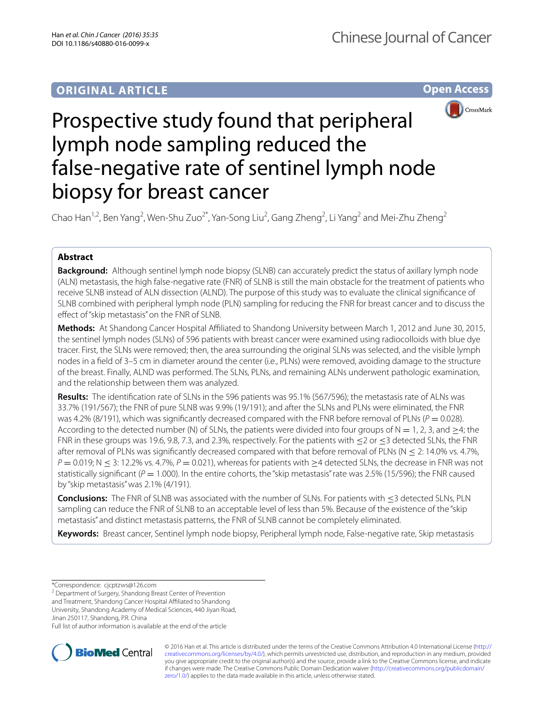## **ORIGINAL ARTICLE**

**Open Access**



# Prospective study found that peripheral lymph node sampling reduced the false-negative rate of sentinel lymph node biopsy for breast cancer

Chao Han<sup>1,2</sup>, Ben Yang<sup>2</sup>, Wen-Shu Zuo<sup>2\*</sup>, Yan-Song Liu<sup>2</sup>, Gang Zheng<sup>2</sup>, Li Yang<sup>2</sup> and Mei-Zhu Zheng<sup>2</sup>

## **Abstract**

**Background:** Although sentinel lymph node biopsy (SLNB) can accurately predict the status of axillary lymph node (ALN) metastasis, the high false-negative rate (FNR) of SLNB is still the main obstacle for the treatment of patients who receive SLNB instead of ALN dissection (ALND). The purpose of this study was to evaluate the clinical significance of SLNB combined with peripheral lymph node (PLN) sampling for reducing the FNR for breast cancer and to discuss the effect of "skip metastasis" on the FNR of SLNB.

**Methods:** At Shandong Cancer Hospital Affiliated to Shandong University between March 1, 2012 and June 30, 2015, the sentinel lymph nodes (SLNs) of 596 patients with breast cancer were examined using radiocolloids with blue dye tracer. First, the SLNs were removed; then, the area surrounding the original SLNs was selected, and the visible lymph nodes in a field of 3–5 cm in diameter around the center (i.e., PLNs) were removed, avoiding damage to the structure of the breast. Finally, ALND was performed. The SLNs, PLNs, and remaining ALNs underwent pathologic examination, and the relationship between them was analyzed.

**Results:** The identification rate of SLNs in the 596 patients was 95.1% (567/596); the metastasis rate of ALNs was 33.7% (191/567); the FNR of pure SLNB was 9.9% (19/191); and after the SLNs and PLNs were eliminated, the FNR was 4.2% (8/191), which was significantly decreased compared with the FNR before removal of PLNs ( $P = 0.028$ ). According to the detected number (N) of SLNs, the patients were divided into four groups of N = 1, 2, 3, and >4; the FNR in these groups was 19.6, 9.8, 7.3, and 2.3%, respectively. For the patients with  $\leq$  2 or  $\leq$  3 detected SLNs, the FNR after removal of PLNs was significantly decreased compared with that before removal of PLNs ( $N \le 2$ : 14.0% vs. 4.7%, *P* = 0.019; N ≤ 3: 12.2% vs. 4.7%, *P* = 0.021), whereas for patients with ≥4 detected SLNs, the decrease in FNR was not statistically significant ( $P = 1.000$ ). In the entire cohorts, the "skip metastasis" rate was 2.5% (15/596); the FNR caused by "skip metastasis" was 2.1% (4/191).

**Conclusions:** The FNR of SLNB was associated with the number of SLNs. For patients with ≤3 detected SLNs, PLN sampling can reduce the FNR of SLNB to an acceptable level of less than 5%. Because of the existence of the "skip metastasis" and distinct metastasis patterns, the FNR of SLNB cannot be completely eliminated.

**Keywords:** Breast cancer, Sentinel lymph node biopsy, Peripheral lymph node, False-negative rate, Skip metastasis

\*Correspondence: cjcptzws@126.com

<sup>2</sup> Department of Surgery, Shandong Breast Center of Prevention

and Treatment, Shandong Cancer Hospital Affiliated to Shandong

University, Shandong Academy of Medical Sciences, 440 Jiyan Road,

Jinan 250117, Shandong, P.R. China

Full list of author information is available at the end of the article



© 2016 Han et al. This article is distributed under the terms of the Creative Commons Attribution 4.0 International License ([http://](http://creativecommons.org/licenses/by/4.0/) [creativecommons.org/licenses/by/4.0/](http://creativecommons.org/licenses/by/4.0/)), which permits unrestricted use, distribution, and reproduction in any medium, provided you give appropriate credit to the original author(s) and the source, provide a link to the Creative Commons license, and indicate if changes were made. The Creative Commons Public Domain Dedication waiver ([http://creativecommons.org/publicdomain/](http://creativecommons.org/publicdomain/zero/1.0/) [zero/1.0/](http://creativecommons.org/publicdomain/zero/1.0/)) applies to the data made available in this article, unless otherwise stated.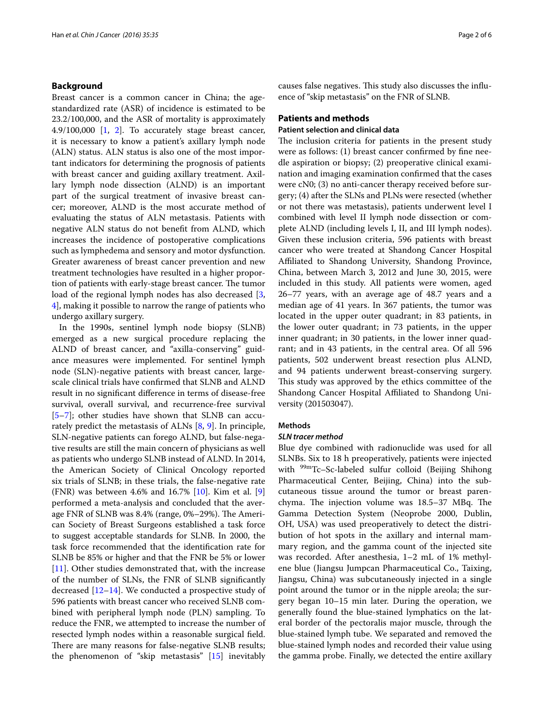### **Background**

Breast cancer is a common cancer in China; the agestandardized rate (ASR) of incidence is estimated to be 23.2/100,000, and the ASR of mortality is approximately 4.9/100,000  $\begin{bmatrix} 1 \\ 2 \end{bmatrix}$ . To accurately stage breast cancer, it is necessary to know a patient's axillary lymph node (ALN) status. ALN status is also one of the most important indicators for determining the prognosis of patients with breast cancer and guiding axillary treatment. Axillary lymph node dissection (ALND) is an important part of the surgical treatment of invasive breast cancer; moreover, ALND is the most accurate method of evaluating the status of ALN metastasis. Patients with negative ALN status do not benefit from ALND, which increases the incidence of postoperative complications such as lymphedema and sensory and motor dysfunction. Greater awareness of breast cancer prevention and new treatment technologies have resulted in a higher proportion of patients with early-stage breast cancer. The tumor load of the regional lymph nodes has also decreased [\[3](#page-4-2), [4\]](#page-4-3), making it possible to narrow the range of patients who undergo axillary surgery.

In the 1990s, sentinel lymph node biopsy (SLNB) emerged as a new surgical procedure replacing the ALND of breast cancer, and "axilla-conserving" guidance measures were implemented. For sentinel lymph node (SLN)-negative patients with breast cancer, largescale clinical trials have confirmed that SLNB and ALND result in no significant difference in terms of disease-free survival, overall survival, and recurrence-free survival [[5–](#page-4-4)[7\]](#page-4-5); other studies have shown that SLNB can accurately predict the metastasis of ALNs [[8,](#page-4-6) [9\]](#page-4-7). In principle, SLN-negative patients can forego ALND, but false-negative results are still the main concern of physicians as well as patients who undergo SLNB instead of ALND. In 2014, the American Society of Clinical Oncology reported six trials of SLNB; in these trials, the false-negative rate (FNR) was between 4.6% and 16.7% [[10\]](#page-4-8). Kim et al. [\[9](#page-4-7)] performed a meta-analysis and concluded that the average FNR of SLNB was 8.4% (range, 0%–29%). The American Society of Breast Surgeons established a task force to suggest acceptable standards for SLNB. In 2000, the task force recommended that the identification rate for SLNB be 85% or higher and that the FNR be 5% or lower [[11\]](#page-4-9). Other studies demonstrated that, with the increase of the number of SLNs, the FNR of SLNB significantly decreased [[12](#page-4-10)[–14](#page-5-0)]. We conducted a prospective study of 596 patients with breast cancer who received SLNB combined with peripheral lymph node (PLN) sampling. To reduce the FNR, we attempted to increase the number of resected lymph nodes within a reasonable surgical field. There are many reasons for false-negative SLNB results; the phenomenon of "skip metastasis" [[15](#page-5-1)] inevitably causes false negatives. This study also discusses the influence of "skip metastasis" on the FNR of SLNB.

## **Patients and methods**

#### **Patient selection and clinical data**

The inclusion criteria for patients in the present study were as follows: (1) breast cancer confirmed by fine needle aspiration or biopsy; (2) preoperative clinical examination and imaging examination confirmed that the cases were cN0; (3) no anti-cancer therapy received before surgery; (4) after the SLNs and PLNs were resected (whether or not there was metastasis), patients underwent level I combined with level II lymph node dissection or complete ALND (including levels I, II, and III lymph nodes). Given these inclusion criteria, 596 patients with breast cancer who were treated at Shandong Cancer Hospital Affiliated to Shandong University, Shandong Province, China, between March 3, 2012 and June 30, 2015, were included in this study. All patients were women, aged 26–77 years, with an average age of 48.7 years and a median age of 41 years. In 367 patients, the tumor was located in the upper outer quadrant; in 83 patients, in the lower outer quadrant; in 73 patients, in the upper inner quadrant; in 30 patients, in the lower inner quadrant; and in 43 patients, in the central area. Of all 596 patients, 502 underwent breast resection plus ALND, and 94 patients underwent breast-conserving surgery. This study was approved by the ethics committee of the Shandong Cancer Hospital Affiliated to Shandong University (201503047).

## **Methods**

## *SLN tracer method*

Blue dye combined with radionuclide was used for all SLNBs. Six to 18 h preoperatively, patients were injected with <sup>99m</sup>Tc-Sc-labeled sulfur colloid (Beijing Shihong Pharmaceutical Center, Beijing, China) into the subcutaneous tissue around the tumor or breast parenchyma. The injection volume was 18.5–37 MBq. The Gamma Detection System (Neoprobe 2000, Dublin, OH, USA) was used preoperatively to detect the distribution of hot spots in the axillary and internal mammary region, and the gamma count of the injected site was recorded. After anesthesia, 1–2 mL of 1% methylene blue (Jiangsu Jumpcan Pharmaceutical Co., Taixing, Jiangsu, China) was subcutaneously injected in a single point around the tumor or in the nipple areola; the surgery began 10–15 min later. During the operation, we generally found the blue-stained lymphatics on the lateral border of the pectoralis major muscle, through the blue-stained lymph tube. We separated and removed the blue-stained lymph nodes and recorded their value using the gamma probe. Finally, we detected the entire axillary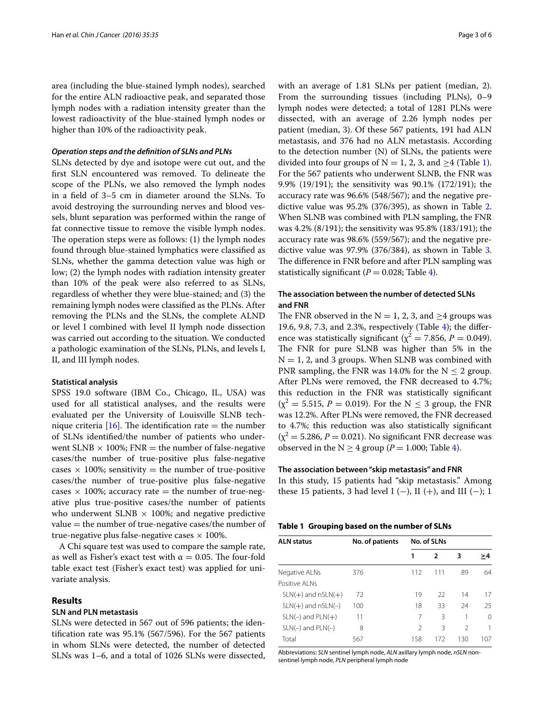area (including the blue-stained lymph nodes), searched for the entire ALN radioactive peak, and separated those lymph nodes with a radiation intensity greater than the lowest radioactivity of the blue-stained lymph nodes or higher than 10% of the radioactivity peak.

#### *Operation steps and the definition of SLNs and PLNs*

SLNs detected by dye and isotope were cut out, and the first SLN encountered was removed. To delineate the scope of the PLNs, we also removed the lymph nodes in a field of 3–5 cm in diameter around the SLNs. To avoid destroying the surrounding nerves and blood vessels, blunt separation was performed within the range of fat connective tissue to remove the visible lymph nodes. The operation steps were as follows: (1) the lymph nodes found through blue-stained lymphatics were classified as SLNs, whether the gamma detection value was high or low; (2) the lymph nodes with radiation intensity greater than 10% of the peak were also referred to as SLNs, regardless of whether they were blue-stained; and (3) the remaining lymph nodes were classified as the PLNs. After removing the PLNs and the SLNs, the complete ALND or level I combined with level II lymph node dissection was carried out according to the situation. We conducted a pathologic examination of the SLNs, PLNs, and levels I, II, and III lymph nodes.

#### **Statistical analysis**

SPSS 19.0 software (IBM Co., Chicago, IL, USA) was used for all statistical analyses, and the results were evaluated per the University of Louisville SLNB technique criteria  $[16]$  $[16]$  $[16]$ . The identification rate = the number of SLNs identified/the number of patients who underwent SLNB  $\times$  100%; FNR = the number of false-negative cases/the number of true-positive plus false-negative cases  $\times$  100%; sensitivity = the number of true-positive cases/the number of true-positive plus false-negative cases  $\times$  100%; accuracy rate = the number of true-negative plus true-positive cases/the number of patients who underwent SLNB  $\times$  100%; and negative predictive  $value =$  the number of true-negative cases/the number of true-negative plus false-negative cases  $\times$  100%.

A Chi square test was used to compare the sample rate, as well as Fisher's exact test with  $\alpha = 0.05$ . The four-fold table exact test (Fisher's exact test) was applied for univariate analysis.

## **Results**

## **SLN and PLN metastasis**

SLNs were detected in 567 out of 596 patients; the identification rate was 95.1% (567/596). For the 567 patients in whom SLNs were detected, the number of detected SLNs was 1–6, and a total of 1026 SLNs were dissected,

with an average of 1.81 SLNs per patient (median, 2). From the surrounding tissues (including PLNs), 0–9 lymph nodes were detected; a total of 1281 PLNs were dissected, with an average of 2.26 lymph nodes per patient (median, 3). Of these 567 patients, 191 had ALN metastasis, and 376 had no ALN metastasis. According to the detection number (N) of SLNs, the patients were divided into four groups of  $N = 1, 2, 3$  $N = 1, 2, 3$  $N = 1, 2, 3$ , and  $\geq 4$  (Table 1). For the 567 patients who underwent SLNB, the FNR was 9.9% (19/191); the sensitivity was 90.1% (172/191); the accuracy rate was 96.6% (548/567); and the negative predictive value was 95.2% (376/395), as shown in Table [2](#page-3-0). When SLNB was combined with PLN sampling, the FNR was 4.2% (8/191); the sensitivity was 95.8% (183/191); the accuracy rate was 98.6% (559/567); and the negative predictive value was 97.9% (376/384), as shown in Table [3](#page-3-1). The difference in FNR before and after PLN sampling was statistically significant ( $P = 0.028$ ; Table [4](#page-3-2)).

## **The association between the number of detected SLNs and FNR**

The FNR observed in the  $N = 1, 2, 3$ , and  $\geq 4$  groups was 19.6, 9.8, 7.3, and 2.3%, respectively (Table [4\)](#page-3-2); the difference was statistically significant ( $\chi^2$  = 7.856, *P* = 0.049). The FNR for pure SLNB was higher than 5% in the  $N = 1$ , 2, and 3 groups. When SLNB was combined with PNR sampling, the FNR was 14.0% for the  $N \le 2$  group. After PLNs were removed, the FNR decreased to 4.7%; this reduction in the FNR was statistically significant  $(\chi^2 = 5.515, P = 0.019)$ . For the N  $\leq$  3 group, the FNR was 12.2%. After PLNs were removed, the FNR decreased to 4.7%; this reduction was also statistically significant  $(\chi^2 = 5.286, P = 0.021)$ . No significant FNR decrease was observed in the  $N \geq 4$  $N \geq 4$  group ( $P = 1.000$ ; Table 4).

#### **The association between "skip metastasis" and FNR**

In this study, 15 patients had "skip metastasis." Among these 15 patients, 3 had level I (−), II (+), and III (−); 1

<span id="page-2-0"></span>

| <b>ALN status</b>      | No. of patients | No. of SLNs    |     |                |          |
|------------------------|-----------------|----------------|-----|----------------|----------|
|                        |                 | 1              | 2   | 3              | >4       |
| Negative ALNs          | 376             | 112            | 111 | 89             | 64       |
| Positive Al Ns         |                 |                |     |                |          |
| $SLN(+)$ and $nSLN(+)$ | 72              | 19             | 22  | 14             | 17       |
| $SLN(+)$ and $nSLN(-)$ | 100             | 18             | 33  | 24             | 25       |
| $SLN(-)$ and $PLN(+)$  | 11              | 7              | 3   | 1              | $\Omega$ |
| $SLN(-)$ and $PLN(-)$  | 8               | $\mathfrak{D}$ | ζ   | $\mathfrak{D}$ | 1        |
| Total                  | 567             | 158            | 172 | 130            | 107      |

Abbreviations: *SLN* sentinel lymph node, *ALN* axillary lymph node, *nSLN* nonsentinel lymph node, *PLN* peripheral lymph node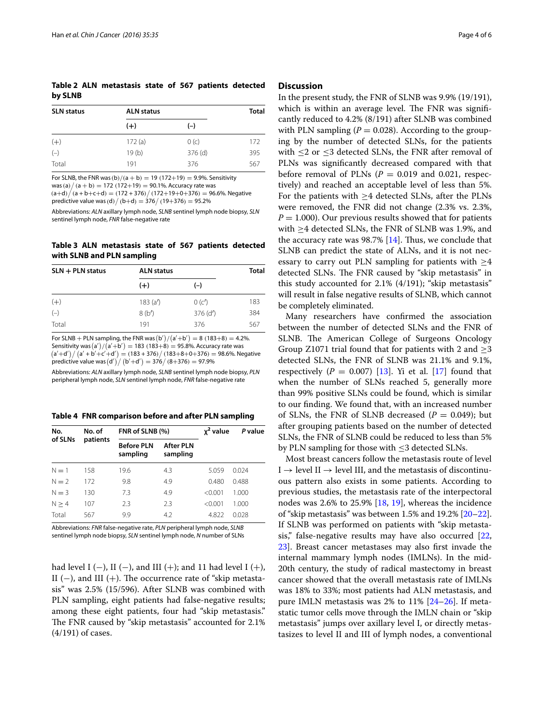<span id="page-3-0"></span>**Table 2 ALN metastasis state of 567 patients detected by SLNB**

| <b>SLN status</b> | <b>ALN status</b> |           | <b>Total</b> |
|-------------------|-------------------|-----------|--------------|
|                   | $(+)$             | $(-)$     |              |
| $(+)$             | 172(a)            | 0(c)      | 172          |
| $(-)$             | 19(b)             | $376$ (d) | 395          |
| Total             | 191               | 376       | 567          |

For SLNB, the FNR was  $(b)/(a + b) = 19 (172+19) = 9.9\%$ . Sensitivity  $\cos(a) / (a + b) = 172 (172 + 19) = 90.1\%$ . Accuracy rate was

 $(a+d)/(a+b+c+d) = (172+376)/(172+19+0+376) = 96.6%$ . Negative predictive value was (d)  $/$  (b+d) = 376 $/$  (19+376) = 95.2%

Abbreviations: *ALN* axillary lymph node, *SLNB* sentinel lymph node biopsy, *SLN* sentinel lymph node, *FNR* false-negative rate

<span id="page-3-1"></span>**Table 3 ALN metastasis state of 567 patients detected with SLNB and PLN sampling**

| $SLN + PLN$ status | <b>ALN status</b> | <b>Total</b> |     |
|--------------------|-------------------|--------------|-----|
|                    | $(+)$             | $(-)$        |     |
| $(+)$              | 183(a')           | 0(c')        | 183 |
| $(-)$              | 8(b')             | $376$ (d')   | 384 |
| Total              | 191               | 376          | 567 |

For SLNB + PLN sampling, the FNR was  $(b')/(a'+b') = 8$  (183+8) = 4.2%. Sensitivity was  $(a')/(a'+b') = 183~(183+8) = 95.8\%$ . Accuracy rate was  $(a'+d')/(a'+b'+c'+d') = (183 + 376)/(183+8+0+376) = 98.6\%$ . Negative  $\stackrel{\cdot }{\text{predictive}}$  value was  $\left( \text{d}' \right)'/\left( \text{b}' + \text{d}' \right) = \frac{376}{\left( 8+376 \right)} = \frac{97.9\%}{27.3\%}$ 

Abbreviations: *ALN* axillary lymph node, *SLNB* sentinel lymph node biopsy, *PLN* peripheral lymph node, *SLN* sentinel lymph node, *FNR* false-negative rate

<span id="page-3-2"></span>**Table 4 FNR comparison before and after PLN sampling**

| No.<br>of SLNs | No. of<br>patients | FNR of SLNB (%)               |                       | x <sup>2</sup> value | P value |  |
|----------------|--------------------|-------------------------------|-----------------------|----------------------|---------|--|
|                |                    | <b>Before PLN</b><br>sampling | After PLN<br>sampling |                      |         |  |
| $N=1$          | 158                | 19.6                          | 4.3                   | 5.059                | 0.024   |  |
| $N = 2$        | 172                | 9.8                           | 4.9                   | 0.480                | 0.488   |  |
| $N = 3$        | 130                | 7.3                           | 4.9                   | < 0.001              | 1.000   |  |
| N > 4          | 107                | 2.3                           | 2.3                   | < 0.001              | 1.000   |  |
| Total          | 567                | 9.9                           | 4.2                   | 4.822                | 0.028   |  |

Abbreviations: *FNR* false-negative rate, *PLN* peripheral lymph node, *SLNB* sentinel lymph node biopsy, *SLN* sentinel lymph node, *N* number of SLNs

had level I (−), II (−), and III (+); and 11 had level I (+), II ( $-$ ), and III ( $+$ ). The occurrence rate of "skip metastasis" was 2.5% (15/596). After SLNB was combined with PLN sampling, eight patients had false-negative results; among these eight patients, four had "skip metastasis." The FNR caused by "skip metastasis" accounted for 2.1% (4/191) of cases.

### **Discussion**

In the present study, the FNR of SLNB was 9.9% (19/191), which is within an average level. The FNR was significantly reduced to 4.2% (8/191) after SLNB was combined with PLN sampling  $(P = 0.028)$ . According to the grouping by the number of detected SLNs, for the patients with ≤2 or ≤3 detected SLNs, the FNR after removal of PLNs was significantly decreased compared with that before removal of PLNs  $(P = 0.019$  and 0.021, respectively) and reached an acceptable level of less than 5%. For the patients with ≥4 detected SLNs, after the PLNs were removed, the FNR did not change (2.3% vs. 2.3%,  $P = 1.000$ ). Our previous results showed that for patients with ≥4 detected SLNs, the FNR of SLNB was 1.9%, and the accuracy rate was  $98.7\%$  [\[14](#page-5-0)]. Thus, we conclude that SLNB can predict the state of ALNs, and it is not necessary to carry out PLN sampling for patients with  $\geq$ 4 detected SLNs. The FNR caused by "skip metastasis" in this study accounted for 2.1% (4/191); "skip metastasis" will result in false negative results of SLNB, which cannot be completely eliminated.

Many researchers have confirmed the association between the number of detected SLNs and the FNR of SLNB. The American College of Surgeons Oncology Group Z1071 trial found that for patients with 2 and  $\geq$ 3 detected SLNs, the FNR of SLNB was 21.1% and 9.1%, respectively  $(P = 0.007)$  [\[13](#page-4-11)]. Yi et al. [\[17](#page-5-3)] found that when the number of SLNs reached 5, generally more than 99% positive SLNs could be found, which is similar to our finding. We found that, with an increased number of SLNs, the FNR of SLNB decreased  $(P = 0.049)$ ; but after grouping patients based on the number of detected SLNs, the FNR of SLNB could be reduced to less than 5% by PLN sampling for those with ≤3 detected SLNs.

Most breast cancers follow the metastasis route of level  $I \rightarrow$  level II  $\rightarrow$  level III, and the metastasis of discontinuous pattern also exists in some patients. According to previous studies, the metastasis rate of the interpectoral nodes was 2.6% to 25.9% [[18,](#page-5-4) [19\]](#page-5-5), whereas the incidence of "skip metastasis" was between  $1.5\%$  and  $19.2\%$   $[20-22]$  $[20-22]$  $[20-22]$ . If SLNB was performed on patients with "skip metastasis," false-negative results may have also occurred [[22](#page-5-7), [23\]](#page-5-8). Breast cancer metastases may also first invade the internal mammary lymph nodes (IMLNs). In the mid-20th century, the study of radical mastectomy in breast cancer showed that the overall metastasis rate of IMLNs was 18% to 33%; most patients had ALN metastasis, and pure IMLN metastasis was 2% to 11% [\[24](#page-5-9)[–26](#page-5-10)]. If metastatic tumor cells move through the IMLN chain or "skip metastasis" jumps over axillary level I, or directly metastasizes to level II and III of lymph nodes, a conventional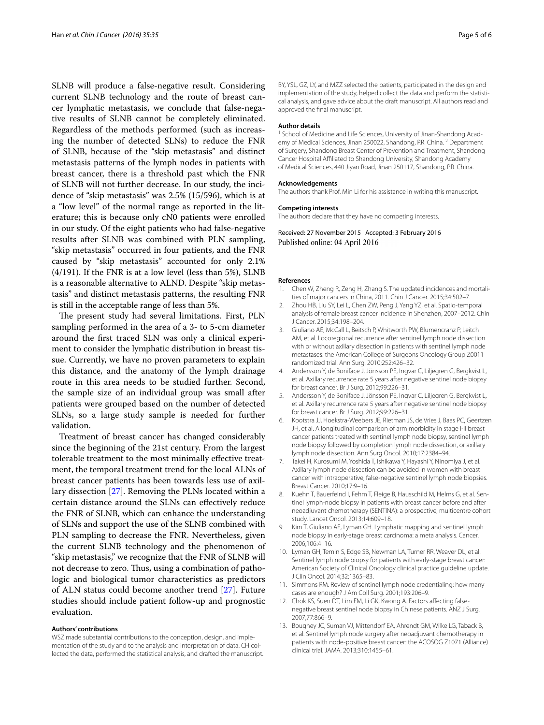SLNB will produce a false-negative result. Considering current SLNB technology and the route of breast cancer lymphatic metastasis, we conclude that false-negative results of SLNB cannot be completely eliminated. Regardless of the methods performed (such as increasing the number of detected SLNs) to reduce the FNR of SLNB, because of the "skip metastasis" and distinct metastasis patterns of the lymph nodes in patients with breast cancer, there is a threshold past which the FNR of SLNB will not further decrease. In our study, the incidence of "skip metastasis" was 2.5% (15/596), which is at a "low level" of the normal range as reported in the literature; this is because only cN0 patients were enrolled in our study. Of the eight patients who had false-negative results after SLNB was combined with PLN sampling, "skip metastasis" occurred in four patients, and the FNR caused by "skip metastasis" accounted for only 2.1% (4/191). If the FNR is at a low level (less than 5%), SLNB is a reasonable alternative to ALND. Despite "skip metastasis" and distinct metastasis patterns, the resulting FNR is still in the acceptable range of less than 5%.

The present study had several limitations. First, PLN sampling performed in the area of a 3- to 5-cm diameter around the first traced SLN was only a clinical experiment to consider the lymphatic distribution in breast tissue. Currently, we have no proven parameters to explain this distance, and the anatomy of the lymph drainage route in this area needs to be studied further. Second, the sample size of an individual group was small after patients were grouped based on the number of detected SLNs, so a large study sample is needed for further validation.

Treatment of breast cancer has changed considerably since the beginning of the 21st century. From the largest tolerable treatment to the most minimally effective treatment, the temporal treatment trend for the local ALNs of breast cancer patients has been towards less use of axillary dissection [\[27\]](#page-5-11). Removing the PLNs located within a certain distance around the SLNs can effectively reduce the FNR of SLNB, which can enhance the understanding of SLNs and support the use of the SLNB combined with PLN sampling to decrease the FNR. Nevertheless, given the current SLNB technology and the phenomenon of "skip metastasis," we recognize that the FNR of SLNB will not decrease to zero. Thus, using a combination of pathologic and biological tumor characteristics as predictors of ALN status could become another trend [[27\]](#page-5-11). Future studies should include patient follow-up and prognostic evaluation.

#### **Authors' contributions**

WSZ made substantial contributions to the conception, design, and implementation of the study and to the analysis and interpretation of data. CH collected the data, performed the statistical analysis, and drafted the manuscript. BY, YSL, GZ, LY, and MZZ selected the patients, participated in the design and implementation of the study, helped collect the data and perform the statistical analysis, and gave advice about the draft manuscript. All authors read and approved the final manuscript.

#### **Author details**

<sup>1</sup> School of Medicine and Life Sciences, University of Jinan-Shandong Academy of Medical Sciences, Jinan 250022, Shandong, P.R. China. <sup>2</sup> Department of Surgery, Shandong Breast Center of Prevention and Treatment, Shandong Cancer Hospital Affiliated to Shandong University, Shandong Academy of Medical Sciences, 440 Jiyan Road, Jinan 250117, Shandong, P.R. China.

#### **Acknowledgements**

The authors thank Prof. Min Li for his assistance in writing this manuscript.

#### **Competing interests**

The authors declare that they have no competing interests.

Received: 27 November 2015 Accepted: 3 February 2016 Published online: 04 April 2016

#### **References**

- <span id="page-4-0"></span>Chen W, Zheng R, Zeng H, Zhang S. The updated incidences and mortalities of major cancers in China, 2011. Chin J Cancer. 2015;34:502–7.
- <span id="page-4-1"></span>2. Zhou HB, Liu SY, Lei L, Chen ZW, Peng J, Yang YZ, et al. Spatio-temporal analysis of female breast cancer incidence in Shenzhen, 2007–2012. Chin J Cancer. 2015;34:198–204.
- <span id="page-4-2"></span>3. Giuliano AE, McCall L, Beitsch P, Whitworth PW, Blumencranz P, Leitch AM, et al. Locoregional recurrence after sentinel lymph node dissection with or without axillary dissection in patients with sentinel lymph node metastases: the American College of Surgeons Oncology Group Z0011 randomized trial. Ann Surg. 2010;252:426–32.
- <span id="page-4-3"></span>4. Andersson Y, de Boniface J, Jönsson PE, Ingvar C, Liljegren G, Bergkvist L, et al. Axillary recurrence rate 5 years after negative sentinel node biopsy for breast cancer. Br J Surg. 2012;99:226–31.
- <span id="page-4-4"></span>5. Andersson Y, de Boniface J, Jönsson PE, Ingvar C, Liljegren G, Bergkvist L, et al. Axillary recurrence rate 5 years after negative sentinel node biopsy for breast cancer. Br J Surg. 2012;99:226–31.
- 6. Kootstra JJ, Hoekstra-Weebers JE, Rietman JS, de Vries J, Baas PC, Geertzen JH, et al. A longitudinal comparison of arm morbidity in stage I-II breast cancer patients treated with sentinel lymph node biopsy, sentinel lymph node biopsy followed by completion lymph node dissection, or axillary lymph node dissection. Ann Surg Oncol. 2010;17:2384–94.
- <span id="page-4-5"></span>7. Takei H, Kurosumi M, Yoshida T, Ishikawa Y, Hayashi Y, Ninomiya J, et al. Axillary lymph node dissection can be avoided in women with breast cancer with intraoperative, false-negative sentinel lymph node biopsies. Breast Cancer. 2010;17:9–16.
- <span id="page-4-6"></span>8. Kuehn T, Bauerfeind I, Fehm T, Fleige B, Hausschild M, Helms G, et al. Sentinel lymph-node biopsy in patients with breast cancer before and after neoadjuvant chemotherapy (SENTINA): a prospective, multicentre cohort study. Lancet Oncol. 2013;14:609–18.
- <span id="page-4-7"></span>Kim T, Giuliano AE, Lyman GH. Lymphatic mapping and sentinel lymph node biopsy in early-stage breast carcinoma: a meta analysis. Cancer. 2006;106:4–16.
- <span id="page-4-8"></span>10. Lyman GH, Temin S, Edge SB, Newman LA, Turner RR, Weaver DL, et al. Sentinel lymph node biopsy for patients with early-stage breast cancer: American Society of Clinical Oncology clinical practice guideline update. J Clin Oncol. 2014;32:1365–83.
- <span id="page-4-9"></span>11. Simmons RM. Review of sentinel lymph node credentialing: how many cases are enough? J Am Coll Surg. 2001;193:206–9.
- <span id="page-4-10"></span>12. Chok KS, Suen DT, Lim FM, Li GK, Kwong A. Factors affecting falsenegative breast sentinel node biopsy in Chinese patients. ANZ J Surg. 2007;77:866–9.
- <span id="page-4-11"></span>13. Boughey JC, Suman VJ, Mittendorf EA, Ahrendt GM, Wilke LG, Taback B, et al. Sentinel lymph node surgery after neoadjuvant chemotherapy in patients with node-positive breast cancer: the ACOSOG Z1071 (Alliance) clinical trial. JAMA. 2013;310:1455–61.